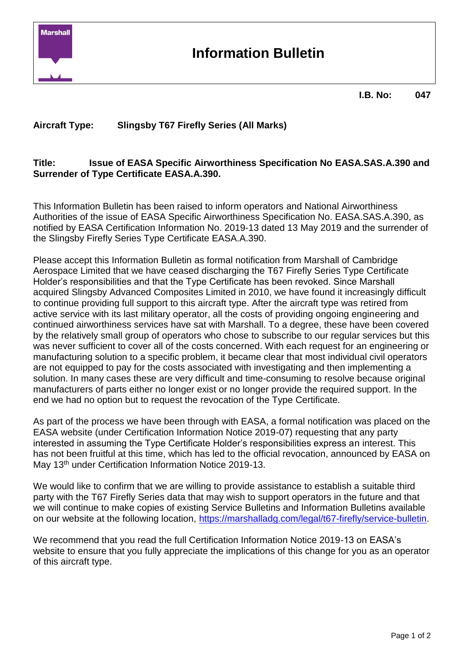

## **Information Bulletin**

#### **I.B. No: 047**

## **Aircraft Type: Slingsby T67 Firefly Series (All Marks)**

### **Title: Issue of EASA Specific Airworthiness Specification No EASA.SAS.A.390 and Surrender of Type Certificate EASA.A.390.**

This Information Bulletin has been raised to inform operators and National Airworthiness Authorities of the issue of EASA Specific Airworthiness Specification No. EASA.SAS.A.390, as notified by EASA Certification Information No. 2019-13 dated 13 May 2019 and the surrender of the Slingsby Firefly Series Type Certificate EASA.A.390.

Please accept this Information Bulletin as formal notification from Marshall of Cambridge Aerospace Limited that we have ceased discharging the T67 Firefly Series Type Certificate Holder's responsibilities and that the Type Certificate has been revoked. Since Marshall acquired Slingsby Advanced Composites Limited in 2010, we have found it increasingly difficult to continue providing full support to this aircraft type. After the aircraft type was retired from active service with its last military operator, all the costs of providing ongoing engineering and continued airworthiness services have sat with Marshall. To a degree, these have been covered by the relatively small group of operators who chose to subscribe to our regular services but this was never sufficient to cover all of the costs concerned. With each request for an engineering or manufacturing solution to a specific problem, it became clear that most individual civil operators are not equipped to pay for the costs associated with investigating and then implementing a solution. In many cases these are very difficult and time-consuming to resolve because original manufacturers of parts either no longer exist or no longer provide the required support. In the end we had no option but to request the revocation of the Type Certificate.

As part of the process we have been through with EASA, a formal notification was placed on the EASA website (under Certification Information Notice 2019-07) requesting that any party interested in assuming the Type Certificate Holder's responsibilities express an interest. This has not been fruitful at this time, which has led to the official revocation, announced by EASA on May 13<sup>th</sup> under Certification Information Notice 2019-13.

We would like to confirm that we are willing to provide assistance to establish a suitable third party with the T67 Firefly Series data that may wish to support operators in the future and that we will continue to make copies of existing Service Bulletins and Information Bulletins available on our website at the following location, [https://marshalladg.com/legal/t67-firefly/service-bulletin.](https://marshalladg.com/legal/t67-firefly/service-bulletin)

We recommend that you read the full Certification Information Notice 2019-13 on EASA's website to ensure that you fully appreciate the implications of this change for you as an operator of this aircraft type.